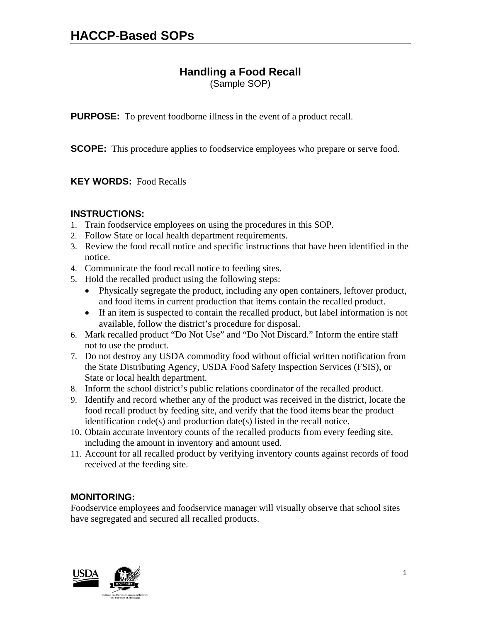## **Handling a Food Recall**

(Sample SOP)

**PURPOSE:** To prevent foodborne illness in the event of a product recall.

**SCOPE:** This procedure applies to foodservice employees who prepare or serve food.

**KEY WORDS:** Food Recalls

#### **INSTRUCTIONS:**

- 1. Train foodservice employees on using the procedures in this SOP.
- 2. Follow State or local health department requirements.
- 3. Review the food recall notice and specific instructions that have been identified in the notice.
- 4. Communicate the food recall notice to feeding sites.
- 5. Hold the recalled product using the following steps:
	- Physically segregate the product, including any open containers, leftover product, and food items in current production that items contain the recalled product.
	- If an item is suspected to contain the recalled product, but label information is not available, follow the district's procedure for disposal.
- 6. Mark recalled product "Do Not Use" and "Do Not Discard." Inform the entire staff not to use the product.
- 7. Do not destroy any USDA commodity food without official written notification from the State Distributing Agency, USDA Food Safety Inspection Services (FSIS), or State or local health department.
- 8. Inform the school district's public relations coordinator of the recalled product.
- 9. Identify and record whether any of the product was received in the district, locate the food recall product by feeding site, and verify that the food items bear the product identification code(s) and production date(s) listed in the recall notice.
- 10. Obtain accurate inventory counts of the recalled products from every feeding site, including the amount in inventory and amount used.
- 11. Account for all recalled product by verifying inventory counts against records of food received at the feeding site.

### **MONITORING:**

Foodservice employees and foodservice manager will visually observe that school sites have segregated and secured all recalled products.

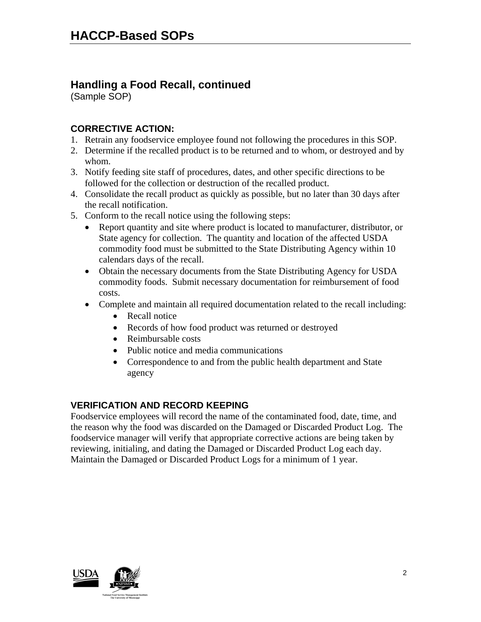### **Handling a Food Recall, continued**

(Sample SOP)

### **CORRECTIVE ACTION:**

- 1. Retrain any foodservice employee found not following the procedures in this SOP.
- 2. Determine if the recalled product is to be returned and to whom, or destroyed and by whom.
- 3. Notify feeding site staff of procedures, dates, and other specific directions to be followed for the collection or destruction of the recalled product.
- 4. Consolidate the recall product as quickly as possible, but no later than 30 days after the recall notification.
- 5. Conform to the recall notice using the following steps:
	- Report quantity and site where product is located to manufacturer, distributor, or State agency for collection. The quantity and location of the affected USDA commodity food must be submitted to the State Distributing Agency within 10 calendars days of the recall.
	- Obtain the necessary documents from the State Distributing Agency for USDA commodity foods. Submit necessary documentation for reimbursement of food costs.
	- Complete and maintain all required documentation related to the recall including:
		- Recall notice
		- Records of how food product was returned or destroyed
		- Reimbursable costs
		- Public notice and media communications
		- Correspondence to and from the public health department and State agency

#### **VERIFICATION AND RECORD KEEPING**

Foodservice employees will record the name of the contaminated food, date, time, and the reason why the food was discarded on the Damaged or Discarded Product Log. The foodservice manager will verify that appropriate corrective actions are being taken by reviewing, initialing, and dating the Damaged or Discarded Product Log each day. Maintain the Damaged or Discarded Product Logs for a minimum of 1 year.